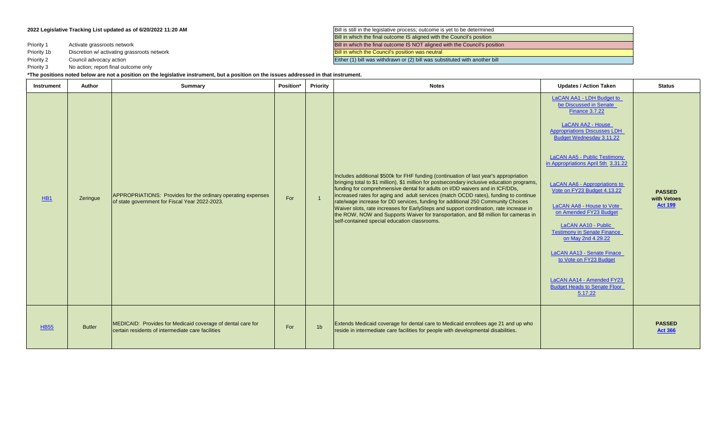Priority 1

Priority 1b

Priority 2

Priority 3 No action; report final outcome only

**2022 Legislative Tracking List updated as of 6/20/2022 11:20 AM Bill is still in the legislative process**; outcome is yet to be determined Bill in which the final outcome IS aligned with the Council's position Activate grassroots network **Bill in which the final outcome IS NOT aligned with the Council's position** Discretion w/ activating grassroots network Bill in which the Council's position was neutral Council advocacy action **Either (1)** bill was withdrawn or (2) bill was substituted with another bill

## **\*The positions noted below are not a position on the legislative instrument, but a position on the issues addressed in that instrument.**

| Instrument      | Author        | Summary                                                                                                          | Position* | Priority       | <b>Notes</b>                                                                                                                                                                                                                                                                                                                                                                                                                                                                                                                                                                                                                                                                      | <b>Updates / Action Taken</b>                                                                                                                                                                                                                                                                                                                                                                                                                                                                                                                                                                       | <b>Status</b>                                  |
|-----------------|---------------|------------------------------------------------------------------------------------------------------------------|-----------|----------------|-----------------------------------------------------------------------------------------------------------------------------------------------------------------------------------------------------------------------------------------------------------------------------------------------------------------------------------------------------------------------------------------------------------------------------------------------------------------------------------------------------------------------------------------------------------------------------------------------------------------------------------------------------------------------------------|-----------------------------------------------------------------------------------------------------------------------------------------------------------------------------------------------------------------------------------------------------------------------------------------------------------------------------------------------------------------------------------------------------------------------------------------------------------------------------------------------------------------------------------------------------------------------------------------------------|------------------------------------------------|
| H <sub>B1</sub> | Zeringue      | APPROPRIATIONS: Provides for the ordinary operating expenses<br>of state government for Fiscal Year 2022-2023.   | For       | $\overline{1}$ | Includes additional \$500k for FHF funding (continuation of last year's appropriation<br>bringing total to \$1 million), \$1 million for postsecondary inclusive education programs,<br>funding for comprehmensive dental for adults on I/DD waivers and in ICF/DDs,<br>increased rates for aging and adult services (match OCDD rates), funding to continue<br>rate/wage increase for DD services, funding for additional 250 Community Choices<br>Waiver slots, rate increases for EarlySteps and support corrdination, rate increase in<br>the ROW, NOW and Supports Waiver for transportation, and \$8 million for cameras in<br>self-contained special education classrooms. | LaCAN AA1 - LDH Budget to<br>be Discussed in Senate<br><b>Finance 3.7.22</b><br>LaCAN AA2 - House<br><b>Appropriations Discusses LDH</b><br>Budget Wednesday 3.11.22<br>LaCAN AA5 - Public Testimony<br>in Appropriations April 5th 3.31.22<br>LaCAN AA6 - Appropriations to<br>Vote on FY23 Budget 4.13.22<br><b>LaCAN AA8 - House to Vote</b><br>on Amended FY23 Budget<br>LaCAN AA10 - Public<br><b>Testimony in Senate Finance</b><br>on May 2nd 4.29.22<br>LaCAN AA13 - Senate Finace<br>to Vote on FY23 Budget<br>LaCAN AA14 - Amended FY23<br><b>Budget Heads to Senate Floor</b><br>5.17.22 | <b>PASSED</b><br>with Vetoes<br><b>Act 199</b> |
| <b>HB55</b>     | <b>Butler</b> | MEDICAID: Provides for Medicaid coverage of dental care for<br>certain residents of intermediate care facilities | For       | 1 <sub>b</sub> | Extends Medicaid coverage for dental care to Medicaid enrollees age 21 and up who<br>reside in intermediate care facilities for people with developmental disabilities.                                                                                                                                                                                                                                                                                                                                                                                                                                                                                                           |                                                                                                                                                                                                                                                                                                                                                                                                                                                                                                                                                                                                     | <b>PASSED</b><br><b>Act 366</b>                |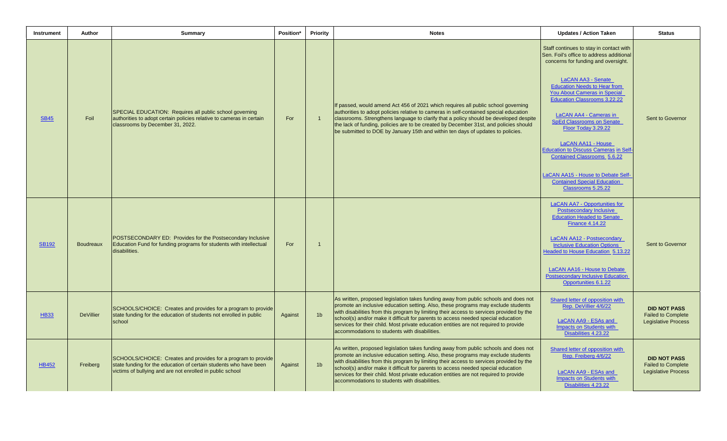| <b>Instrument</b> | Author           | <b>Summary</b>                                                                                                                                                                                  | Position* | <b>Priority</b> | <b>Notes</b>                                                                                                                                                                                                                                                                                                                                                                                                                                                                                         | <b>Updates / Action Taken</b>                                                                                                                                                                                                                                                                                                                                                                                                                                                                                                                                     | <b>Status</b>                                                                  |
|-------------------|------------------|-------------------------------------------------------------------------------------------------------------------------------------------------------------------------------------------------|-----------|-----------------|------------------------------------------------------------------------------------------------------------------------------------------------------------------------------------------------------------------------------------------------------------------------------------------------------------------------------------------------------------------------------------------------------------------------------------------------------------------------------------------------------|-------------------------------------------------------------------------------------------------------------------------------------------------------------------------------------------------------------------------------------------------------------------------------------------------------------------------------------------------------------------------------------------------------------------------------------------------------------------------------------------------------------------------------------------------------------------|--------------------------------------------------------------------------------|
| <b>SB45</b>       | Foil             | SPECIAL EDUCATION: Requires all public school governing<br>authorities to adopt certain policies relative to cameras in certain<br>classrooms by December 31, 2022.                             | For       | $\overline{1}$  | If passed, would amend Act 456 of 2021 which requires all public school governing<br>authorities to adopt policies relative to cameras in self-contained special education<br>classrooms. Strengthens language to clarify that a policy should be developed despite<br>the lack of funding, policies are to be created by December 31st, and policies should<br>be submitted to DOE by January 15th and within ten days of updates to policies.                                                      | Staff continues to stay in contact with<br>Sen. Foil's office to address additional<br>concerns for funding and oversight.<br>LaCAN AA3 - Senate<br><b>Education Needs to Hear from</b><br><b>You About Cameras in Special</b><br><b>Education Classrooms 3.22.22</b><br>LaCAN AA4 - Cameras in<br><b>SpEd Classrooms on Senate</b><br>Floor Today 3.29.22<br>LaCAN AA11 - House<br><b>Education to Discuss Cameras in Self-</b><br>Contained Classrooms 5.6.22<br>LaCAN AA15 - House to Debate Self-<br><b>Contained Special Education</b><br>Classrooms 5.25.22 | Sent to Governor                                                               |
| <b>SB192</b>      | <b>Boudreaux</b> | POSTSECONDARY ED: Provides for the Postsecondary Inclusive<br>Education Fund for funding programs for students with intellectual<br>disabilities.                                               | For       | $\overline{1}$  |                                                                                                                                                                                                                                                                                                                                                                                                                                                                                                      | LaCAN AA7 - Opportunities for<br><b>Postsecondary Inclusive</b><br><b>Education Headed to Senate</b><br><b>Finance 4.14.22</b><br>LaCAN AA12 - Postsecondary<br><b>Inclusive Education Options</b><br><b>Headed to House Education 5.13.22</b><br>LaCAN AA16 - House to Debate<br><b>Postsecondary Inclusive Education</b><br>Opportunities 6.1.22                                                                                                                                                                                                                | Sent to Governor                                                               |
| <b>HB33</b>       | <b>DeVillier</b> | SCHOOLS/CHOICE: Creates and provides for a program to provide<br>state funding for the education of students not enrolled in public<br>school                                                   | Against   | 1 <sub>b</sub>  | As written, proposed legislation takes funding away from public schools and does not<br>promote an inclusive education setting. Also, these programs may exclude students<br>with disabilities from this program by limiting their access to services provided by the<br>school(s) and/or make it difficult for parents to access needed special education<br>services for their child. Most private education entities are not required to provide<br>accommodations to students with disabilities. | Shared letter of opposition with<br>Rep. DeVillier 4/6/22<br>LaCAN AA9 - ESAs and<br>Impacts on Students with<br>Disabilities 4.23.22                                                                                                                                                                                                                                                                                                                                                                                                                             | <b>DID NOT PASS</b><br><b>Failed to Complete</b><br><b>Legislative Process</b> |
| <b>HB452</b>      | Freiberg         | SCHOOLS/CHOICE: Creates and provides for a program to provide<br>state funding for the education of certain students who have been<br>victims of bullying and are not enrolled in public school | Against   | 1 <sub>b</sub>  | As written, proposed legislation takes funding away from public schools and does not<br>promote an inclusive education setting. Also, these programs may exclude students<br>with disabilities from this program by limiting their access to services provided by the<br>school(s) and/or make it difficult for parents to access needed special education<br>services for their child. Most private education entities are not required to provide<br>accommodations to students with disabilities. | Shared letter of opposition with<br>Rep. Freiberg 4/6/22<br>LaCAN AA9 - ESAs and<br>Impacts on Students with<br>Disabilities 4.23.22                                                                                                                                                                                                                                                                                                                                                                                                                              | <b>DID NOT PASS</b><br><b>Failed to Complete</b><br><b>Legislative Process</b> |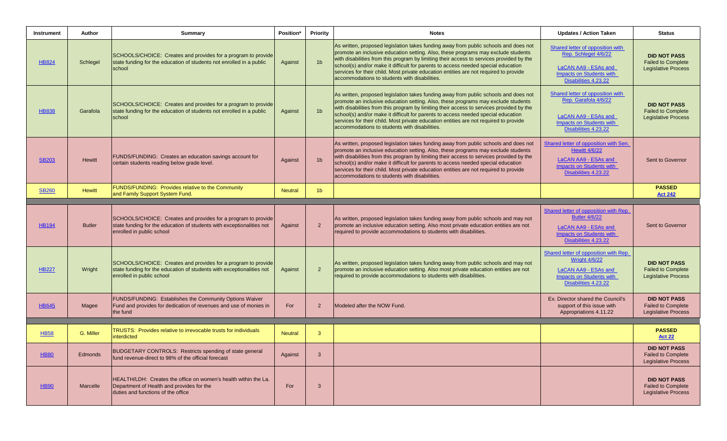| <b>Instrument</b> | Author        | Summary                                                                                                                                                             | Position*      | <b>Priority</b> | <b>Notes</b>                                                                                                                                                                                                                                                                                                                                                                                                                                                                                         | <b>Updates / Action Taken</b>                                                                                                                    | <b>Status</b>                                                                  |
|-------------------|---------------|---------------------------------------------------------------------------------------------------------------------------------------------------------------------|----------------|-----------------|------------------------------------------------------------------------------------------------------------------------------------------------------------------------------------------------------------------------------------------------------------------------------------------------------------------------------------------------------------------------------------------------------------------------------------------------------------------------------------------------------|--------------------------------------------------------------------------------------------------------------------------------------------------|--------------------------------------------------------------------------------|
| <b>HB824</b>      | Schlegel      | SCHOOLS/CHOICE: Creates and provides for a program to provide<br>state funding for the education of students not enrolled in a public<br>school                     | Against        | 1 <sub>b</sub>  | As written, proposed legislation takes funding away from public schools and does not<br>promote an inclusive education setting. Also, these programs may exclude students<br>with disabilities from this program by limiting their access to services provided by the<br>school(s) and/or make it difficult for parents to access needed special education<br>services for their child. Most private education entities are not required to provide<br>accommodations to students with disabilities. | Shared letter of opposition with<br>Rep. Schlegel 4/6/22<br><b>LaCAN AA9 - ESAs and</b><br>Impacts on Students with<br>Disabilities 4.23.22      | <b>DID NOT PASS</b><br><b>Failed to Complete</b><br><b>Legislative Process</b> |
| <b>HB838</b>      | Garafola      | SCHOOLS/CHOICE: Creates and provides for a program to provide<br>state funding for the education of students not enrolled in a public<br>school                     | Against        | 1 <sub>b</sub>  | As written, proposed legislation takes funding away from public schools and does not<br>promote an inclusive education setting. Also, these programs may exclude students<br>with disabilities from this program by limiting their access to services provided by the<br>school(s) and/or make it difficult for parents to access needed special education<br>services for their child. Most private education entities are not required to provide<br>accommodations to students with disabilities. | Shared letter of opposition with<br>Rep. Garafola 4/6/22<br>LaCAN AA9 - ESAs and<br>Impacts on Students with<br>Disabilities 4.23.22             | <b>DID NOT PASS</b><br><b>Failed to Complete</b><br><b>Legislative Process</b> |
| <b>SB203</b>      | <b>Hewitt</b> | FUNDS/FUNDING: Creates an education savings account for<br>certain students reading below grade level.                                                              | Against        | 1 <sub>b</sub>  | As written, proposed legislation takes funding away from public schools and does not<br>promote an inclusive education setting. Also, these programs may exclude students<br>with disabilities from this program by limiting their access to services provided by the<br>school(s) and/or make it difficult for parents to access needed special education<br>services for their child. Most private education entities are not required to provide<br>accommodations to students with disabilities. | Shared letter of opposition with Sen.<br><b>Hewitt 4/6/22</b><br>LaCAN AA9 - ESAs and<br><b>Impacts on Students with</b><br>Disabilities 4.23.22 | Sent to Governor                                                               |
| <u>SB260</u>      | <b>Hewitt</b> | FUNDS/FUNDING: Provides relative to the Community<br>and Family Support System Fund.                                                                                | <b>Neutral</b> | 1 <sub>b</sub>  |                                                                                                                                                                                                                                                                                                                                                                                                                                                                                                      |                                                                                                                                                  | <b>PASSED</b><br><b>Act 242</b>                                                |
|                   |               |                                                                                                                                                                     |                |                 |                                                                                                                                                                                                                                                                                                                                                                                                                                                                                                      |                                                                                                                                                  |                                                                                |
| <b>HB194</b>      | <b>Butler</b> | SCHOOLS/CHOICE: Creates and provides for a program to provide<br>state funding for the education of students with exceptionalities not<br>enrolled in public school | Against        | $\overline{2}$  | As written, proposed legislation takes funding away from public schools and may not<br>promote an inclusive education setting. Also most private education entities are not<br>required to provide accommodations to students with disabilities.                                                                                                                                                                                                                                                     | Shared letter of opposition with Rep.<br><b>Butler 4/6/22</b><br>LaCAN AA9 - ESAs and<br><b>Impacts on Students with</b><br>Disabilities 4.23.22 | Sent to Governor                                                               |
| <b>HB227</b>      | Wright        | SCHOOLS/CHOICE: Creates and provides for a program to provide<br>state funding for the education of students with exceptionalities not<br>enrolled in public school | Against        | $\overline{2}$  | As written, proposed legislation takes funding away from public schools and may not<br>promote an inclusive education setting. Also most private education entities are not<br>required to provide accommodations to students with disabilities.                                                                                                                                                                                                                                                     | Shared letter of opposition with Rep.<br><b>Wright 4/6/22</b><br>LaCAN AA9 - ESAs and<br><b>Impacts on Students with</b><br>Disabilities 4.23.22 | <b>DID NOT PASS</b><br><b>Failed to Complete</b><br><b>Legislative Process</b> |
| <b>HB645</b>      | Magee         | FUNDS/FUNDING: Establishes the Community Options Waiver<br>Fund and provides for dedication of revenues and use of monies in<br>the fund                            | For            | $\overline{2}$  | Modeled after the NOW Fund.                                                                                                                                                                                                                                                                                                                                                                                                                                                                          | Ex. Director shared the Council's<br>support of this issue with<br>Appropriations 4.11.22                                                        | <b>DID NOT PASS</b><br><b>Failed to Complete</b><br><b>Legislative Process</b> |
|                   |               | TRUSTS: Provides relative to irrevocable trusts for individuals                                                                                                     |                |                 |                                                                                                                                                                                                                                                                                                                                                                                                                                                                                                      |                                                                                                                                                  | <b>PASSED</b>                                                                  |
| <b>HB58</b>       | G. Miller     | interdicted                                                                                                                                                         | <b>Neutral</b> | 3               |                                                                                                                                                                                                                                                                                                                                                                                                                                                                                                      |                                                                                                                                                  | <b>Act 22</b>                                                                  |
| <b>HB80</b>       | Edmonds       | BUDGETARY CONTROLS: Restricts spending of state general<br>fund revenue-direct to 98% of the official forecast                                                      | Against        | $\mathbf{3}$    |                                                                                                                                                                                                                                                                                                                                                                                                                                                                                                      |                                                                                                                                                  | <b>DID NOT PASS</b><br><b>Failed to Complete</b><br><b>Legislative Process</b> |
| <b>HB90</b>       | Marcelle      | HEALTH/LDH: Creates the office on women's health within the La.<br>Department of Health and provides for the<br>duties and functions of the office                  | For            | 3               |                                                                                                                                                                                                                                                                                                                                                                                                                                                                                                      |                                                                                                                                                  | <b>DID NOT PASS</b><br><b>Failed to Complete</b><br><b>Legislative Process</b> |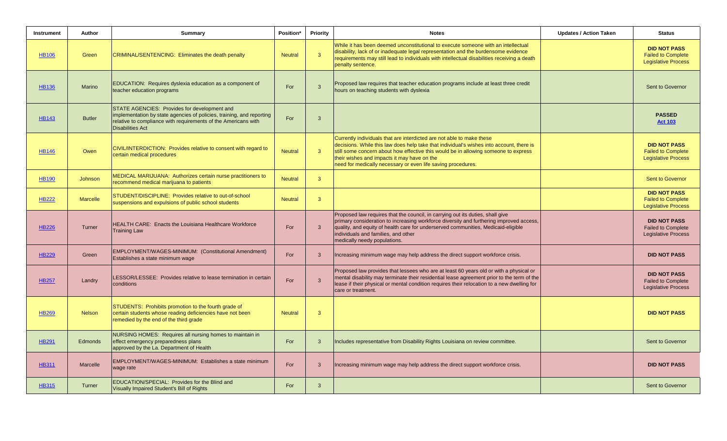| Instrument   | Author          | Summary                                                                                                                                                                                                            | Position*      | <b>Priority</b> | <b>Notes</b>                                                                                                                                                                                                                                                                                                                                                            | <b>Updates / Action Taken</b> | <b>Status</b>                                                                  |
|--------------|-----------------|--------------------------------------------------------------------------------------------------------------------------------------------------------------------------------------------------------------------|----------------|-----------------|-------------------------------------------------------------------------------------------------------------------------------------------------------------------------------------------------------------------------------------------------------------------------------------------------------------------------------------------------------------------------|-------------------------------|--------------------------------------------------------------------------------|
| <b>HB106</b> | Green           | CRIMINAL/SENTENCING: Eliminates the death penalty                                                                                                                                                                  | <b>Neutral</b> | $\mathbf{3}$    | While it has been deemed unconstitutional to execute someone with an intellectual<br>disability, lack of or inadequate legal representation and the burdensome evidence<br>requirements may still lead to individuals with intellectual disabilities receiving a death<br>penalty sentence.                                                                             |                               | <b>DID NOT PASS</b><br><b>Failed to Complete</b><br><b>Legislative Process</b> |
| <b>HB136</b> | <b>Marino</b>   | EDUCATION: Requires dyslexia education as a component of<br>teacher education programs                                                                                                                             | For            | $\mathbf{3}$    | Proposed law requires that teacher education programs include at least three credit<br>hours on teaching students with dyslexia                                                                                                                                                                                                                                         |                               | Sent to Governor                                                               |
| <b>HB143</b> | <b>Butler</b>   | STATE AGENCIES: Provides for development and<br>implementation by state agencies of policies, training, and reporting<br>relative to compliance with requirements of the Americans with<br><b>Disabilities Act</b> | For            | $\mathbf{3}$    |                                                                                                                                                                                                                                                                                                                                                                         |                               | <b>PASSED</b><br><b>Act 103</b>                                                |
| <b>HB146</b> | Owen            | CIVIL/INTERDICTION: Provides relative to consent with regard to<br>certain medical procedures                                                                                                                      | <b>Neutral</b> | $\mathbf{3}$    | Currently individuals that are interdicted are not able to make these<br>decisions. While this law does help take that individual's wishes into account, there is<br>still some concern about how effective this would be in allowing someone to express<br>their wishes and impacts it may have on the<br>need for medically necessary or even life saving procedures. |                               | <b>DID NOT PASS</b><br><b>Failed to Complete</b><br><b>Legislative Process</b> |
| <b>HB190</b> | Johnson         | MEDICAL MARIJUANA: Authorizes certain nurse practitioners to<br>recommend medical marijuana to patients                                                                                                            | <b>Neutral</b> | $\mathbf{3}$    |                                                                                                                                                                                                                                                                                                                                                                         |                               | Sent to Governor                                                               |
| <b>HB222</b> | <b>Marcelle</b> | STUDENT/DISCIPLINE: Provides relative to out-of-school<br>suspensions and expulsions of public school students                                                                                                     | <b>Neutral</b> | $\mathbf{3}$    |                                                                                                                                                                                                                                                                                                                                                                         |                               | <b>DID NOT PASS</b><br><b>Failed to Complete</b><br><b>Legislative Process</b> |
| <b>HB226</b> | Turner          | <b>HEALTH CARE: Enacts the Louisiana Healthcare Workforce</b><br><b>Training Law</b>                                                                                                                               | For            | $\mathbf{3}$    | Proposed law requires that the council, in carrying out its duties, shall give<br>primary consideration to increasing workforce diversity and furthering improved access,<br>quality, and equity of health care for underserved communities, Medicaid-eligible<br>individuals and families, and other<br>medically needy populations.                                   |                               | <b>DID NOT PASS</b><br><b>Failed to Complete</b><br><b>Legislative Process</b> |
| <b>HB229</b> | Green           | EMPLOYMENT/WAGES-MINIMUM: (Constitutional Amendment)<br>Establishes a state minimum wage                                                                                                                           | For            | $\mathbf{3}$    | Increasing minimum wage may help address the direct support workforce crisis.                                                                                                                                                                                                                                                                                           |                               | <b>DID NOT PASS</b>                                                            |
| <b>HB257</b> | Landry          | LESSOR/LESSEE: Provides relative to lease termination in certain<br>conditions                                                                                                                                     | For            | $\mathbf{3}$    | Proposed law provides that lessees who are at least 60 years old or with a physical or<br>mental disability may terminate their residential lease agreement prior to the term of the<br>lease if their physical or mental condition requires their relocation to a new dwelling for<br>care or treatment.                                                               |                               | <b>DID NOT PASS</b><br><b>Failed to Complete</b><br><b>Legislative Process</b> |
| <b>HB269</b> | <b>Nelson</b>   | STUDENTS: Prohibits promotion to the fourth grade of<br>certain students whose reading deficiencies have not been<br>remedied by the end of the third grade                                                        | <b>Neutral</b> | $\mathbf{3}$    |                                                                                                                                                                                                                                                                                                                                                                         |                               | <b>DID NOT PASS</b>                                                            |
| <b>HB291</b> | Edmonds         | NURSING HOMES: Requires all nursing homes to maintain in<br>effect emergency preparedness plans<br>approved by the La. Department of Health                                                                        | For            | $\mathbf{3}$    | Includes representative from Disability Rights Louisiana on review committee.                                                                                                                                                                                                                                                                                           |                               | Sent to Governor                                                               |
| <b>HB311</b> | Marcelle        | EMPLOYMENT/WAGES-MINIMUM: Establishes a state minimum<br>wage rate                                                                                                                                                 | For            | $\mathbf{3}$    | Increasing minimum wage may help address the direct support workforce crisis.                                                                                                                                                                                                                                                                                           |                               | <b>DID NOT PASS</b>                                                            |
| <b>HB315</b> | Turner          | EDUCATION/SPECIAL: Provides for the Blind and<br>Visually Impaired Student's Bill of Rights                                                                                                                        | For            | $\mathbf{3}$    |                                                                                                                                                                                                                                                                                                                                                                         |                               | Sent to Governor                                                               |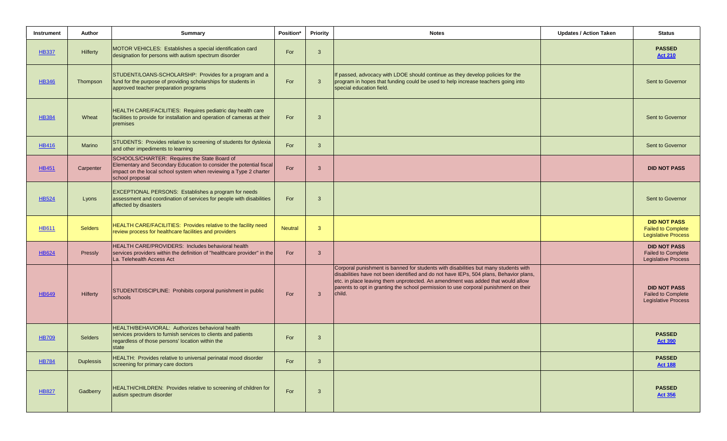| Instrument   | Author           | <b>Summary</b>                                                                                                                                                                                              | Position*      | Priority     | <b>Notes</b>                                                                                                                                                                                                                                                                                                                                                       | <b>Updates / Action Taken</b> | <b>Status</b>                                                                  |
|--------------|------------------|-------------------------------------------------------------------------------------------------------------------------------------------------------------------------------------------------------------|----------------|--------------|--------------------------------------------------------------------------------------------------------------------------------------------------------------------------------------------------------------------------------------------------------------------------------------------------------------------------------------------------------------------|-------------------------------|--------------------------------------------------------------------------------|
| <b>HB337</b> | Hilferty         | MOTOR VEHICLES: Establishes a special identification card<br>designation for persons with autism spectrum disorder                                                                                          | For            | $\mathbf{3}$ |                                                                                                                                                                                                                                                                                                                                                                    |                               | <b>PASSED</b><br><b>Act 210</b>                                                |
| <b>HB346</b> | Thompson         | STUDENT/LOANS-SCHOLARSHP: Provides for a program and a<br>fund for the purpose of providing scholarships for students in<br>approved teacher preparation programs                                           | For            | $\mathbf{3}$ | If passed, advocacy with LDOE should continue as they develop policies for the<br>program in hopes that funding could be used to help increase teachers going into<br>special education field.                                                                                                                                                                     |                               | Sent to Governor                                                               |
| <b>HB384</b> | Wheat            | HEALTH CARE/FACILITIES: Requires pediatric day health care<br>facilities to provide for installation and operation of cameras at their<br>premises                                                          | For            | $\mathbf{3}$ |                                                                                                                                                                                                                                                                                                                                                                    |                               | Sent to Governor                                                               |
| <b>HB416</b> | <b>Marino</b>    | STUDENTS: Provides relative to screening of students for dyslexia<br>and other impediments to learning                                                                                                      | For            | $\mathbf{3}$ |                                                                                                                                                                                                                                                                                                                                                                    |                               | Sent to Governor                                                               |
| <b>HB451</b> | Carpenter        | SCHOOLS/CHARTER: Requires the State Board of<br>Elementary and Secondary Education to consider the potential fiscal<br>impact on the local school system when reviewing a Type 2 charter<br>school proposal | For            | $\mathbf{3}$ |                                                                                                                                                                                                                                                                                                                                                                    |                               | <b>DID NOT PASS</b>                                                            |
| <b>HB524</b> | Lyons            | <b>EXCEPTIONAL PERSONS: Establishes a program for needs</b><br>assessment and coordination of services for people with disabilities<br>affected by disasters                                                | For            | $\mathbf{3}$ |                                                                                                                                                                                                                                                                                                                                                                    |                               | Sent to Governor                                                               |
| <b>HB611</b> | <b>Selders</b>   | HEALTH CARE/FACILITIES: Provides relative to the facility need<br>review process for healthcare facilities and providers                                                                                    | <b>Neutral</b> | $\mathbf{3}$ |                                                                                                                                                                                                                                                                                                                                                                    |                               | <b>DID NOT PASS</b><br><b>Failed to Complete</b><br><b>Legislative Process</b> |
| <b>HB624</b> | Pressly          | HEALTH CARE/PROVIDERS: Includes behavioral health<br>services providers within the definition of "healthcare provider" in the<br>La. Telehealth Access Act                                                  | For            | $\mathbf{3}$ |                                                                                                                                                                                                                                                                                                                                                                    |                               | <b>DID NOT PASS</b><br><b>Failed to Complete</b><br><b>Legislative Process</b> |
| <b>HB649</b> | Hilferty         | STUDENT/DISCIPLINE: Prohibits corporal punishment in public<br>schools                                                                                                                                      | For            | $\mathbf{3}$ | Corporal punishment is banned for students with disabilities but many students with<br>disabilities have not been identified and do not have IEPs, 504 plans, Behavior plans,<br>etc. in place leaving them unprotected. An amendment was added that would allow<br>parents to opt in granting the school permission to use corporal punishment on their<br>child. |                               | <b>DID NOT PASS</b><br><b>Failed to Complete</b><br><b>Legislative Process</b> |
| <b>HB709</b> | <b>Selders</b>   | HEALTH/BEHAVIORAL: Authorizes behavioral health<br>services providers to furnish services to clients and patients<br>regardless of those persons' location within the<br>state                              | For            | $\mathbf{3}$ |                                                                                                                                                                                                                                                                                                                                                                    |                               | <b>PASSED</b><br><b>Act 390</b>                                                |
| <b>HB784</b> | <b>Duplessis</b> | HEALTH: Provides relative to universal perinatal mood disorder<br>screening for primary care doctors                                                                                                        | For            | $\mathbf{3}$ |                                                                                                                                                                                                                                                                                                                                                                    |                               | <b>PASSED</b><br><b>Act 188</b>                                                |
| <b>HB827</b> | Gadberry         | HEALTH/CHILDREN: Provides relative to screening of children for<br>autism spectrum disorder                                                                                                                 | For            | $\mathbf{3}$ |                                                                                                                                                                                                                                                                                                                                                                    |                               | <b>PASSED</b><br><b>Act 356</b>                                                |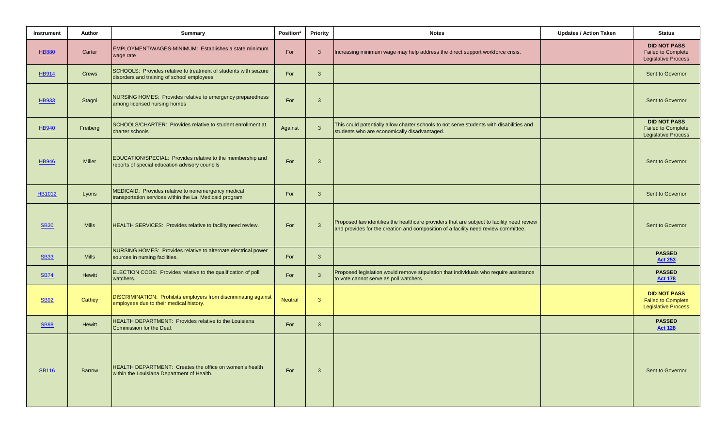| <b>Instrument</b> | Author        | <b>Summary</b>                                                                                                 | Position*      | Priority     | <b>Notes</b>                                                                                                                                                                    | <b>Updates / Action Taken</b> | <b>Status</b>                                                                  |
|-------------------|---------------|----------------------------------------------------------------------------------------------------------------|----------------|--------------|---------------------------------------------------------------------------------------------------------------------------------------------------------------------------------|-------------------------------|--------------------------------------------------------------------------------|
| <b>HB880</b>      | Carter        | EMPLOYMENT/WAGES-MINIMUM: Establishes a state minimum<br>wage rate                                             | For            | 3            | Increasing minimum wage may help address the direct support workforce crisis.                                                                                                   |                               | <b>DID NOT PASS</b><br><b>Failed to Complete</b><br><b>Legislative Process</b> |
| <b>HB914</b>      | <b>Crews</b>  | SCHOOLS: Provides relative to treatment of students with seizure<br>disorders and training of school employees | For            | $\mathbf{3}$ |                                                                                                                                                                                 |                               | Sent to Governor                                                               |
| <b>HB933</b>      | Stagni        | NURSING HOMES: Provides relative to emergency preparedness<br>among licensed nursing homes                     | For            | 3            |                                                                                                                                                                                 |                               | Sent to Governor                                                               |
| <b>HB940</b>      | Freiberg      | SCHOOLS/CHARTER: Provides relative to student enrollment at<br>charter schools                                 | Against        | $\mathbf{3}$ | This could potentially allow charter schools to not serve students with disabilities and<br>students who are economically disadvantaged.                                        |                               | <b>DID NOT PASS</b><br><b>Failed to Complete</b><br><b>Legislative Process</b> |
| <b>HB946</b>      | <b>Miller</b> | EDUCATION/SPECIAL: Provides relative to the membership and<br>reports of special education advisory councils   | For            | 3            |                                                                                                                                                                                 |                               | Sent to Governor                                                               |
| <b>HB1012</b>     | Lyons         | MEDICAID: Provides relative to nonemergency medical<br>transportation services within the La. Medicaid program | For            | 3            |                                                                                                                                                                                 |                               | Sent to Governor                                                               |
| <b>SB30</b>       | <b>Mills</b>  | HEALTH SERVICES: Provides relative to facility need review.                                                    | For            | $\mathbf{3}$ | Proposed law identifies the healthcare providers that are subject to facility need review<br>and provides for the creation and composition of a facility need review committee. |                               | Sent to Governor                                                               |
| <b>SB33</b>       | <b>Mills</b>  | NURSING HOMES: Provides relative to alternate electrical power<br>sources in nursing facilities.               | For            | $\mathbf{3}$ |                                                                                                                                                                                 |                               | <b>PASSED</b><br><b>Act 253</b>                                                |
| <b>SB74</b>       | <b>Hewitt</b> | ELECTION CODE: Provides relative to the qualification of poll<br>watchers.                                     | For            | $\mathbf{3}$ | Proposed legislation would remove stipulation that individuals who require assistance<br>to vote cannot serve as poll watchers.                                                 |                               | <b>PASSED</b><br><b>Act 178</b>                                                |
| <b>SB92</b>       | Cathey        | DISCRIMINATION: Prohibits employers from discriminating against<br>employees due to their medical history.     | <b>Neutral</b> | 3            |                                                                                                                                                                                 |                               | <b>DID NOT PASS</b><br><b>Failed to Complete</b><br><b>Legislative Process</b> |
| <b>SB98</b>       | <b>Hewitt</b> | <b>HEALTH DEPARTMENT: Provides relative to the Louisiana</b><br>Commission for the Deaf.                       | For            | $\mathbf{3}$ |                                                                                                                                                                                 |                               | <b>PASSED</b><br><b>Act 128</b>                                                |
| <b>SB116</b>      | <b>Barrow</b> | HEALTH DEPARTMENT: Creates the office on women's health<br>within the Louisiana Department of Health.          | For            | $\mathbf{3}$ |                                                                                                                                                                                 |                               | Sent to Governor                                                               |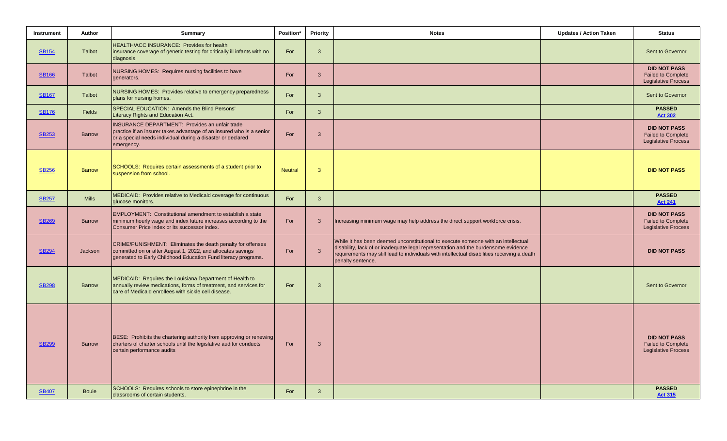| Instrument   | Author        | Summary                                                                                                                                                                                                    | Position*      | Priority     | <b>Notes</b>                                                                                                                                                                                                                                                                                | <b>Updates / Action Taken</b> | <b>Status</b>                                                                  |
|--------------|---------------|------------------------------------------------------------------------------------------------------------------------------------------------------------------------------------------------------------|----------------|--------------|---------------------------------------------------------------------------------------------------------------------------------------------------------------------------------------------------------------------------------------------------------------------------------------------|-------------------------------|--------------------------------------------------------------------------------|
| <b>SB154</b> | Talbot        | HEALTH/ACC INSURANCE: Provides for health<br>insurance coverage of genetic testing for critically ill infants with no<br>diagnosis.                                                                        | For            | $\mathbf{3}$ |                                                                                                                                                                                                                                                                                             |                               | Sent to Governor                                                               |
| <b>SB166</b> | <b>Talbot</b> | NURSING HOMES: Requires nursing facilities to have<br>generators.                                                                                                                                          | For            | $\mathbf{3}$ |                                                                                                                                                                                                                                                                                             |                               | <b>DID NOT PASS</b><br><b>Failed to Complete</b><br><b>Legislative Process</b> |
| <b>SB167</b> | Talbot        | NURSING HOMES: Provides relative to emergency preparedness<br>plans for nursing homes.                                                                                                                     | For            | $\mathbf{3}$ |                                                                                                                                                                                                                                                                                             |                               | Sent to Governor                                                               |
| <b>SB176</b> | <b>Fields</b> | SPECIAL EDUCATION: Amends the Blind Persons'<br>Literacy Rights and Education Act.                                                                                                                         | For            | $\mathbf{3}$ |                                                                                                                                                                                                                                                                                             |                               | <b>PASSED</b><br><b>Act 302</b>                                                |
| <b>SB253</b> | <b>Barrow</b> | <b>INSURANCE DEPARTMENT: Provides an unfair trade</b><br>practice if an insurer takes advantage of an insured who is a senior<br>or a special needs individual during a disaster or declared<br>emergency. | For            | $\mathbf{3}$ |                                                                                                                                                                                                                                                                                             |                               | <b>DID NOT PASS</b><br><b>Failed to Complete</b><br><b>Legislative Process</b> |
| <b>SB256</b> | <b>Barrow</b> | SCHOOLS: Requires certain assessments of a student prior to<br>suspension from school.                                                                                                                     | <b>Neutral</b> | $\mathbf{3}$ |                                                                                                                                                                                                                                                                                             |                               | <b>DID NOT PASS</b>                                                            |
| <b>SB257</b> | <b>Mills</b>  | MEDICAID: Provides relative to Medicaid coverage for continuous<br>glucose monitors.                                                                                                                       | For            | $\mathbf{3}$ |                                                                                                                                                                                                                                                                                             |                               | <b>PASSED</b><br><b>Act 241</b>                                                |
| <b>SB269</b> | <b>Barrow</b> | <b>EMPLOYMENT: Constitutional amendment to establish a state</b><br>minimum hourly wage and index future increases according to the<br>Consumer Price Index or its successor index.                        | For            | $\mathbf{3}$ | Increasing minimum wage may help address the direct support workforce crisis.                                                                                                                                                                                                               |                               | <b>DID NOT PASS</b><br><b>Failed to Complete</b><br><b>Legislative Process</b> |
| <b>SB294</b> | Jackson       | CRIME/PUNISHMENT: Eliminates the death penalty for offenses<br>committed on or after August 1, 2022, and allocates savings<br>generated to Early Childhood Education Fund literacy programs.               | For            | $\mathbf{3}$ | While it has been deemed unconstitutional to execute someone with an intellectual<br>disability, lack of or inadequate legal representation and the burdensome evidence<br>requirements may still lead to individuals with intellectual disabilities receiving a death<br>penalty sentence. |                               | <b>DID NOT PASS</b>                                                            |
| <b>SB298</b> | <b>Barrow</b> | MEDICAID: Requires the Louisiana Department of Health to<br>annually review medications, forms of treatment, and services for<br>care of Medicaid enrollees with sickle cell disease.                      | For            | $\mathbf{3}$ |                                                                                                                                                                                                                                                                                             |                               | Sent to Governor                                                               |
| <b>SB299</b> | <b>Barrow</b> | BESE: Prohibits the chartering authority from approving or renewing<br>charters of charter schools until the legislative auditor conducts<br>certain performance audits                                    | For            | $\mathbf{3}$ |                                                                                                                                                                                                                                                                                             |                               | <b>DID NOT PASS</b><br><b>Failed to Complete</b><br><b>Legislative Process</b> |
| <b>SB407</b> | <b>Bouje</b>  | SCHOOLS: Requires schools to store epinephrine in the<br>classrooms of certain students.                                                                                                                   | For            | $\mathbf{3}$ |                                                                                                                                                                                                                                                                                             |                               | <b>PASSED</b><br><b>Act 315</b>                                                |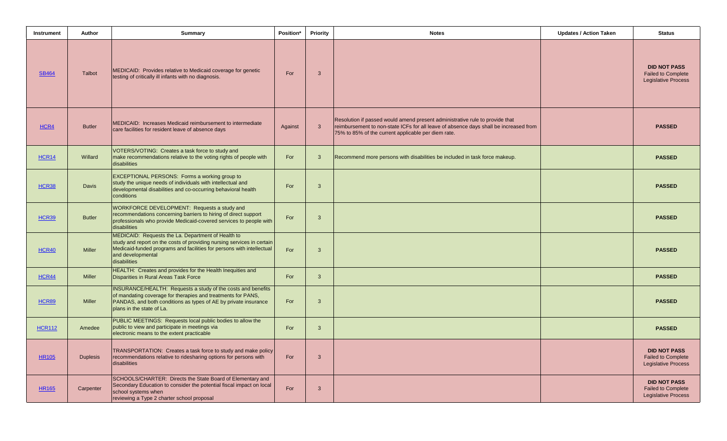| Instrument    | Author          | <b>Summary</b>                                                                                                                                                                                                                             | Position* | Priority     | <b>Notes</b>                                                                                                                                                                                                                 | <b>Updates / Action Taken</b> | <b>Status</b>                                                                  |
|---------------|-----------------|--------------------------------------------------------------------------------------------------------------------------------------------------------------------------------------------------------------------------------------------|-----------|--------------|------------------------------------------------------------------------------------------------------------------------------------------------------------------------------------------------------------------------------|-------------------------------|--------------------------------------------------------------------------------|
| <b>SB464</b>  | Talbot          | MEDICAID: Provides relative to Medicaid coverage for genetic<br>testing of critically ill infants with no diagnosis.                                                                                                                       | For       | $\mathbf{3}$ |                                                                                                                                                                                                                              |                               | <b>DID NOT PASS</b><br><b>Failed to Complete</b><br><b>Legislative Process</b> |
| HCR4          | <b>Butler</b>   | MEDICAID: Increases Medicaid reimbursement to intermediate<br>care facilities for resident leave of absence days                                                                                                                           | Against   | $\mathbf{3}$ | Resolution if passed would amend present administrative rule to provide that<br>reimbursement to non-state ICFs for all leave of absence days shall be increased from<br>75% to 85% of the current applicable per diem rate. |                               | <b>PASSED</b>                                                                  |
| <b>HCR14</b>  | Willard         | VOTERS/VOTING: Creates a task force to study and<br>make recommendations relative to the voting rights of people with<br>disabilities                                                                                                      | For       | $\mathbf{3}$ | Recommend more persons with disabilities be included in task force makeup.                                                                                                                                                   |                               | <b>PASSED</b>                                                                  |
| <b>HCR38</b>  | <b>Davis</b>    | EXCEPTIONAL PERSONS: Forms a working group to<br>study the unique needs of individuals with intellectual and<br>developmental disabilities and co-occurring behavioral health<br>conditions                                                | For       | $\mathbf{3}$ |                                                                                                                                                                                                                              |                               | <b>PASSED</b>                                                                  |
| <b>HCR39</b>  | <b>Butler</b>   | WORKFORCE DEVELOPMENT: Requests a study and<br>recommendations concerning barriers to hiring of direct support<br>professionals who provide Medicaid-covered services to people with<br>disabilities                                       | For       | $\mathbf{3}$ |                                                                                                                                                                                                                              |                               | <b>PASSED</b>                                                                  |
| <b>HCR40</b>  | <b>Miller</b>   | MEDICAID: Requests the La. Department of Health to<br>study and report on the costs of providing nursing services in certain<br>Medicaid-funded programs and facilities for persons with intellectual<br>and developmental<br>disabilities | For       | $\mathbf{3}$ |                                                                                                                                                                                                                              |                               | <b>PASSED</b>                                                                  |
| <b>HCR44</b>  | <b>Miller</b>   | HEALTH: Creates and provides for the Health Inequities and<br><b>Disparities in Rural Areas Task Force</b>                                                                                                                                 | For       | $\mathbf{3}$ |                                                                                                                                                                                                                              |                               | <b>PASSED</b>                                                                  |
| <b>HCR89</b>  | <b>Miller</b>   | INSURANCE/HEALTH: Requests a study of the costs and benefits<br>of mandating coverage for therapies and treatments for PANS,<br>PANDAS, and both conditions as types of AE by private insurance<br>plans in the state of La.               | For       | $\mathbf{3}$ |                                                                                                                                                                                                                              |                               | <b>PASSED</b>                                                                  |
| <b>HCR112</b> | Amedee          | PUBLIC MEETINGS: Requests local public bodies to allow the<br>public to view and participate in meetings via<br>electronic means to the extent practicable                                                                                 | For       | $\mathbf{3}$ |                                                                                                                                                                                                                              |                               | <b>PASSED</b>                                                                  |
| <b>HR105</b>  | <b>Duplesis</b> | TRANSPORTATION: Creates a task force to study and make policy<br>recommendations relative to ridesharing options for persons with<br>disabilities                                                                                          | For       | $\mathbf{3}$ |                                                                                                                                                                                                                              |                               | <b>DID NOT PASS</b><br><b>Failed to Complete</b><br><b>Legislative Process</b> |
| <b>HR165</b>  | Carpenter       | SCHOOLS/CHARTER: Directs the State Board of Elementary and<br>Secondary Education to consider the potential fiscal impact on local<br>school systems when<br>reviewing a Type 2 charter school proposal                                    | For       | $\mathbf{3}$ |                                                                                                                                                                                                                              |                               | <b>DID NOT PASS</b><br><b>Failed to Complete</b><br><b>Legislative Process</b> |